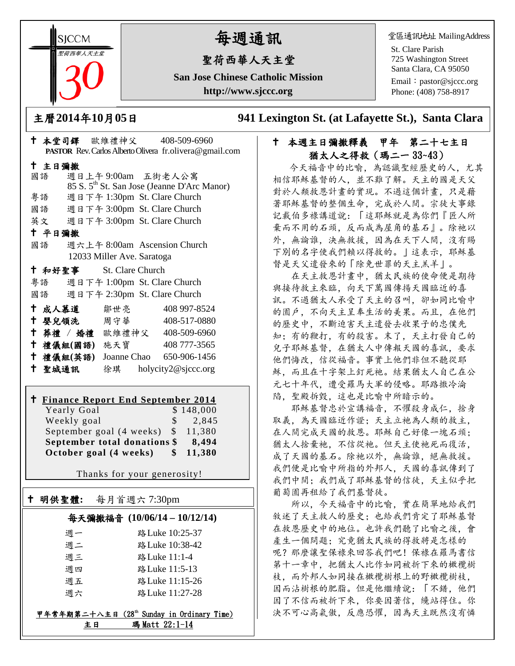**SICCM** 聖荷西華人天主堂

# 每週通訊

## 聖荷西華人天主堂

**San Jose Chinese Catholic Mission http://www.sjccc.org**

堂區通訊地址 MailingAddress

St. Clare Parish 725 Washington Street Santa Clara, CA 95050

Email: [pastor@sjccc.org](mailto:pastor@sjccc.org) Phone: (408) 758-8917

主曆**2014**年**10**月**05**日 **941 Lexington St. (at Lafayette St.), Santa Clara** 

## 本週主日彌撒釋義 甲年 第二十七主日 猶太人之得救(瑪二一 33~43)

今天福音中的比喻,為認識聖經歷史的人,尤其 相信耶穌基督的人,並不難了解。天主的國是天父 對於人類救恩計畫的實現。不過這個計畫,只是藉 著耶穌基督的整個生命,完成於人間。宗徒大事錄 記載伯多祿講道說:「這耶穌就是為你們『匠人所 棄而不用的石頭,反而成為屋角的基石』。除祂以 外,無論誰,決無救援,因為在天下人間,沒有賜 下別的名字使我們賴以得救的。」這表示,耶穌基 督是天父遣發來的「除免世罪的天主羔羊」。

 在天主救恩計畫中,猶太民族的使命便是期待 與接待救主來臨,向天下萬國傳揚天國臨近的喜 訊。不過猶太人承受了天主的召叫,卻如同比喻中 的園戶,不向天主呈奉生活的美果。而且,在他們 的歷史中,不斷迫害天主遣發去收果子的忠僕先 知;有的鞭打,有的殺害。末了,天主打發自己的 兒子耶穌基督,在猶太人中傳報天國的喜訊,要求 他們悔改,信從福音。事實上他們非但不聽從耶 穌,而且在十字架上釘死祂。結果猶太人自己在公 元七十年代,遭受羅馬大軍的侵略。耶路撒冷淪 陷,聖殿拆毀,這也是比喻中所暗示的。

 耶穌基督忠於宣講福音,不懼殺身成仁,捨身 取義,為天國臨近作證;天主立祂為人類的救主, 在人間完成天國的救恩。耶穌自己好像一塊石頭; 猶太人捨棄祂,不信從祂。但天主使祂死而復活, 成了天國的基石。除祂以外,無論誰,絕無救援。 我們便是比喻中所指的外邦人,天國的喜訊傳到了 我們中間;我們成了耶穌基督的信徒,天主似乎把 葡萄園再租給了我們基督徒。

 所以,今天福音中的比喻,實在簡單地給我們 敘述了天主救人的歷史;也給我們肯定了耶穌基督 在救恩歷史中的地位。也許我們聽了比喻之後,會 產生一個問題;究竟猶太民族的得救將是怎樣的 呢? 那麼讓聖保祿來回答我們吧! 保祿在羅馬書信 第十一章中,把猶太人比作如同被折下來的橄欖樹 枝,而外邦人如同接在橄欖樹根上的野橄欖樹枝, 因而沾樹根的肥脂。但是他繼續說:「不錯,他們 因了不信而被折下來,你要因著信,纔站得住。你 決不可心高氣傲,反應恐懼,因為天主既然沒有憐

|        |           |                            | ↑ 本堂司鐸 歐維禮神父       408-509-6960                         |
|--------|-----------|----------------------------|---------------------------------------------------------|
|        |           |                            | PASTOR Rev. Carlos Alberto Olivera fr.olivera@gmail.com |
| 十 主日彌撒 |           |                            |                                                         |
| 國語     |           |                            | 週日上午9:00am 五街老人公寓                                       |
|        |           |                            | 85 S. 5 <sup>th</sup> St. San Jose (Jeanne D'Arc Manor) |
|        |           |                            | 粤語 週日下午 1:30pm St. Clare Church                         |
|        |           |                            | 國語 週日下午 3:00pm St. Clare Church                         |
|        |           |                            | 英文 週日下午 3:00pm St. Clare Church                         |
| 十 平日彌撒 |           |                            |                                                         |
| 國語     |           |                            | 週六上午 8:00am Ascension Church                            |
|        |           | 12033 Miller Ave. Saratoga |                                                         |
|        | 十 和好聖事    | St. Clare Church           |                                                         |
| 粵語     |           |                            | 週日下午 1:00pm St. Clare Church                            |
|        |           |                            | 國語 週日下午 2:30pm St. Clare Church                         |
|        |           | † 成人慕道   鄒世亮               | 408 997-8524                                            |
|        |           | ↑ 嬰兒領洗 周守華                 | 408-517-0880                                            |
|        |           |                            | + 葬禮 / 婚禮 歐維禮神父 408-509-6960                            |
|        |           | 十 禮儀組(國語) 施天寶              | 408 777-3565                                            |
|        | 十 禮儀組(英語) |                            | Joanne Chao 650-906-1456                                |
| 十 聖城通訊 |           |                            | 徐琪 holycity2@sjccc.org                                  |

#### **Finance Report End September 2014**<br>Yearly Goal 8 148 000 Yearly Goal

|                              | $\frac{1}{2}$ ,845                    |  |  |
|------------------------------|---------------------------------------|--|--|
|                              |                                       |  |  |
|                              | 11.380                                |  |  |
| September total donations \$ |                                       |  |  |
|                              |                                       |  |  |
|                              | \$11,380                              |  |  |
|                              | September goal $(4 \text{ weeks})$ \$ |  |  |

Thanks for your generosity!

## 明供聖體**:** 每月首週六 7:30pm

Ξ

## 每天彌撒福音 **(10/06/14 – 10/12/14)**

| 调一 | 路 Luke 10:25-37 |
|----|-----------------|
| 调二 | 路 Luke 10:38-42 |
| 週三 | 路 Luke 11:1-4   |
| 调四 | 路 Luke 11:5-13  |
| 週五 | 路 Luke 11:15-26 |
| 调六 | 路 Luke 11:27-28 |

甲年常年期第二十八主日(28th Sunday in Ordinary Time) 主日 瑪 Matt 22:1-14